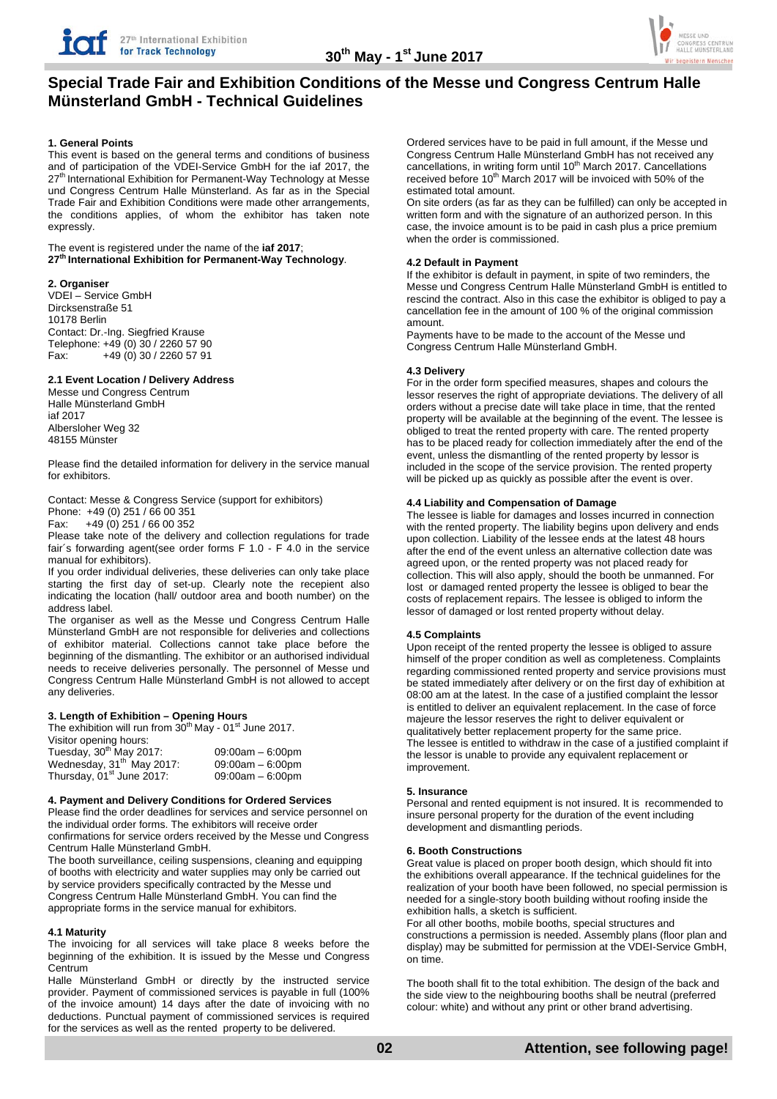

# **Special Trade Fair and Exhibition Conditions of the Messe und Congress Centrum Halle Münsterland GmbH - Technical Guidelines**

## **1. General Points**

This event is based on the general terms and conditions of business and of participation of the VDEI-Service GmbH for the iaf 2017, the 27<sup>th</sup> International Exhibition for Permanent-Way Technology at Messe und Congress Centrum Halle Münsterland. As far as in the Special Trade Fair and Exhibition Conditions were made other arrangements, the conditions applies, of whom the exhibitor has taken note expressly.

The event is registered under the name of the **iaf 2017**; **27th International Exhibition for Permanent-Way Technology**.

#### **2. Organiser**

VDEI – Service GmbH Dircksenstraße 51 10178 Berlin Contact: Dr.-Ing. Siegfried Krause Telephone: +49 (0) 30 / 2260 57 90  $Fax: +49(0)30/22605791$ 

#### **2.1 Event Location / Delivery Address**

Messe und Congress Centrum Halle Münsterland GmbH iaf 2017 Albersloher Weg 32 48155 Münster

Please find the detailed information for delivery in the service manual for exhibitors.

Contact: Messe & Congress Service (support for exhibitors)

Phone: +49 (0) 251 / 66 00 351<br>Fax: +49 (0) 251 / 66 00 352

Fax: +49 (0) 251 / 66 00 352

Please take note of the delivery and collection regulations for trade fair´s forwarding agent(see order forms F 1.0 - F 4.0 in the service manual for exhibitors).

If you order individual deliveries, these deliveries can only take place starting the first day of set-up. Clearly note the recepient also indicating the location (hall/ outdoor area and booth number) on the address label.

The organiser as well as the Messe und Congress Centrum Halle Münsterland GmbH are not responsible for deliveries and collections of exhibitor material. Collections cannot take place before the beginning of the dismantling. The exhibitor or an authorised individual needs to receive deliveries personally. The personnel of Messe und Congress Centrum Halle Münsterland GmbH is not allowed to accept any deliveries.

#### **3. Length of Exhibition – Opening Hours**

The exhibition will run from  $30<sup>th</sup>$  May - 01<sup>st</sup> June 2017.

| Visitor opening hours:                |                    |
|---------------------------------------|--------------------|
| Tuesday, 30 <sup>th</sup> May 2017:   | $09:00am - 6:00pm$ |
| Wednesday, 31 <sup>th</sup> May 2017: | $09:00am - 6:00pm$ |
| Thursday, 01 <sup>st</sup> June 2017: | $09:00am - 6:00pm$ |

#### **4. Payment and Delivery Conditions for Ordered Services**

Please find the order deadlines for services and service personnel on the individual order forms. The exhibitors will receive order confirmations for service orders received by the Messe und Congress Centrum Halle Münsterland GmbH.

The booth surveillance, ceiling suspensions, cleaning and equipping of booths with electricity and water supplies may only be carried out by service providers specifically contracted by the Messe und Congress Centrum Halle Münsterland GmbH. You can find the appropriate forms in the service manual for exhibitors.

#### **4.1 Maturity**

The invoicing for all services will take place 8 weeks before the beginning of the exhibition. It is issued by the Messe und Congress Centrum

Halle Münsterland GmbH or directly by the instructed service provider. Payment of commissioned services is payable in full (100% of the invoice amount) 14 days after the date of invoicing with no deductions. Punctual payment of commissioned services is required for the services as well as the rented property to be delivered.

Ordered services have to be paid in full amount, if the Messe und Congress Centrum Halle Münsterland GmbH has not received any cancellations, in writing form until 10<sup>th</sup> March 2017. Cancellations received before 10<sup>th</sup> March 2017 will be invoiced with 50% of the estimated total amount.

On site orders (as far as they can be fulfilled) can only be accepted in written form and with the signature of an authorized person. In this case, the invoice amount is to be paid in cash plus a price premium when the order is commissioned.

# **4.2 Default in Payment**

If the exhibitor is default in payment, in spite of two reminders, the Messe und Congress Centrum Halle Münsterland GmbH is entitled to rescind the contract. Also in this case the exhibitor is obliged to pay a cancellation fee in the amount of 100 % of the original commission amount.

Payments have to be made to the account of the Messe und Congress Centrum Halle Münsterland GmbH.

## **4.3 Delivery**

For in the order form specified measures, shapes and colours the lessor reserves the right of appropriate deviations. The delivery of all orders without a precise date will take place in time, that the rented property will be available at the beginning of the event. The lessee is obliged to treat the rented property with care. The rented property has to be placed ready for collection immediately after the end of the event, unless the dismantling of the rented property by lessor is included in the scope of the service provision. The rented property will be picked up as quickly as possible after the event is over.

## **4.4 Liability and Compensation of Damage**

The lessee is liable for damages and losses incurred in connection with the rented property. The liability begins upon delivery and ends upon collection. Liability of the lessee ends at the latest 48 hours after the end of the event unless an alternative collection date was agreed upon, or the rented property was not placed ready for collection. This will also apply, should the booth be unmanned. For lost or damaged rented property the lessee is obliged to bear the costs of replacement repairs. The lessee is obliged to inform the lessor of damaged or lost rented property without delay.

# **4.5 Complaints**

Upon receipt of the rented property the lessee is obliged to assure himself of the proper condition as well as completeness. Complaints regarding commissioned rented property and service provisions must be stated immediately after delivery or on the first day of exhibition at 08:00 am at the latest. In the case of a justified complaint the lessor is entitled to deliver an equivalent replacement. In the case of force majeure the lessor reserves the right to deliver equivalent or qualitatively better replacement property for the same price. The lessee is entitled to withdraw in the case of a justified complaint if the lessor is unable to provide any equivalent replacement or improvement.

#### **5. Insurance**

Personal and rented equipment is not insured. It is recommended to insure personal property for the duration of the event including development and dismantling periods.

#### **6. Booth Constructions**

Great value is placed on proper booth design, which should fit into the exhibitions overall appearance. If the technical guidelines for the realization of your booth have been followed, no special permission is needed for a single-story booth building without roofing inside the exhibition halls, a sketch is sufficient.

For all other booths, mobile booths, special structures and constructions a permission is needed. Assembly plans (floor plan and display) may be submitted for permission at the VDEI-Service GmbH, on time.

The booth shall fit to the total exhibition. The design of the back and the side view to the neighbouring booths shall be neutral (preferred colour: white) and without any print or other brand advertising.